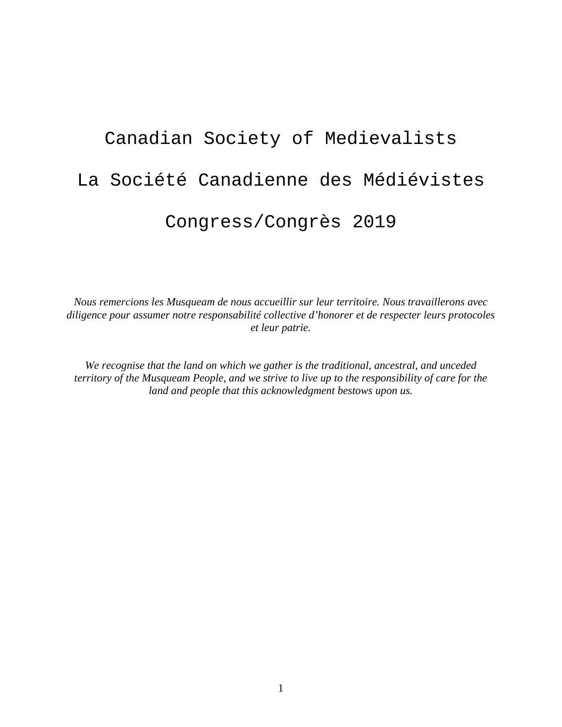## Canadian Society of Medievalists La Société Canadienne des Médiévistes Congress/Congrès 2019

*Nous remercions les Musqueam de nous accueillir sur leur territoire. Nous travaillerons avec diligence pour assumer notre responsabilité collective d'honorer et de respecter leurs protocoles et leur patrie.*

*We recognise that the land on which we gather is the traditional, ancestral, and unceded territory of the Musqueam People, and we strive to live up to the responsibility of care for the land and people that this acknowledgment bestows upon us.*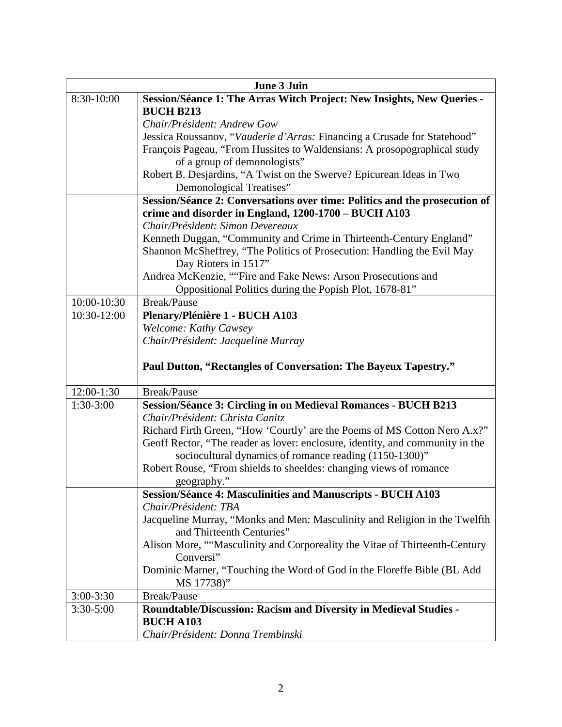| June 3 Juin   |                                                                               |  |
|---------------|-------------------------------------------------------------------------------|--|
| 8:30-10:00    | Session/Séance 1: The Arras Witch Project: New Insights, New Queries -        |  |
|               | <b>BUCH B213</b>                                                              |  |
|               | Chair/Président: Andrew Gow                                                   |  |
|               | Jessica Roussanov, "Vauderie d'Arras: Financing a Crusade for Statehood"      |  |
|               | François Pageau, "From Hussites to Waldensians: A prosopographical study      |  |
|               | of a group of demonologists"                                                  |  |
|               | Robert B. Desjardins, "A Twist on the Swerve? Epicurean Ideas in Two          |  |
|               | Demonological Treatises"                                                      |  |
|               | Session/Séance 2: Conversations over time: Politics and the prosecution of    |  |
|               | crime and disorder in England, 1200-1700 - BUCH A103                          |  |
|               | Chair/Président: Simon Devereaux                                              |  |
|               | Kenneth Duggan, "Community and Crime in Thirteenth-Century England"           |  |
|               | Shannon McSheffrey, "The Politics of Prosecution: Handling the Evil May       |  |
|               | Day Rioters in 1517"                                                          |  |
|               | Andrea McKenzie, ""Fire and Fake News: Arson Prosecutions and                 |  |
|               | Oppositional Politics during the Popish Plot, 1678-81"                        |  |
| 10:00-10:30   | <b>Break/Pause</b>                                                            |  |
| 10:30-12:00   | Plenary/Plénière 1 - BUCH A103                                                |  |
|               | Welcome: Kathy Cawsey                                                         |  |
|               | Chair/Président: Jacqueline Murray                                            |  |
|               |                                                                               |  |
|               | Paul Dutton, "Rectangles of Conversation: The Bayeux Tapestry."               |  |
| 12:00-1:30    | Break/Pause                                                                   |  |
| $1:30-3:00$   | <b>Session/Séance 3: Circling in on Medieval Romances - BUCH B213</b>         |  |
|               | Chair/Président: Christa Canitz                                               |  |
|               | Richard Firth Green, "How 'Courtly' are the Poems of MS Cotton Nero A.x?"     |  |
|               | Geoff Rector, "The reader as lover: enclosure, identity, and community in the |  |
|               | sociocultural dynamics of romance reading (1150-1300)"                        |  |
|               | Robert Rouse, "From shields to sheeldes: changing views of romance            |  |
|               | geography."                                                                   |  |
|               | <b>Session/Séance 4: Masculinities and Manuscripts - BUCH A103</b>            |  |
|               | Chair/Président: TBA                                                          |  |
|               | Jacqueline Murray, "Monks and Men: Masculinity and Religion in the Twelfth    |  |
|               | and Thirteenth Centuries"                                                     |  |
|               | Alison More, ""Masculinity and Corporeality the Vitae of Thirteenth-Century   |  |
|               | Conversi"                                                                     |  |
|               | Dominic Marner, "Touching the Word of God in the Floreffe Bible (BL Add       |  |
|               | MS 17738)"                                                                    |  |
| $3:00 - 3:30$ | Break/Pause                                                                   |  |
| $3:30-5:00$   | <b>Roundtable/Discussion: Racism and Diversity in Medieval Studies -</b>      |  |
|               | <b>BUCH A103</b>                                                              |  |
|               | Chair/Président: Donna Trembinski                                             |  |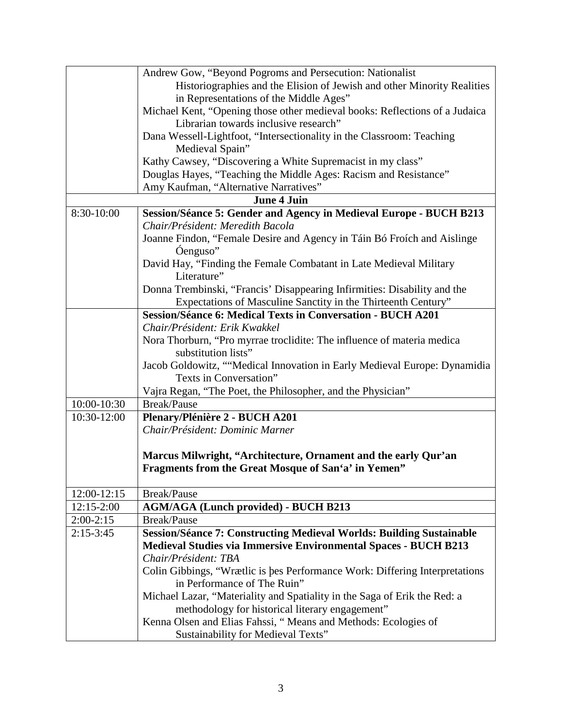| Historiographies and the Elision of Jewish and other Minority Realities<br>in Representations of the Middle Ages"<br>Michael Kent, "Opening those other medieval books: Reflections of a Judaica<br>Librarian towards inclusive research"<br>Dana Wessell-Lightfoot, "Intersectionality in the Classroom: Teaching<br>Medieval Spain"<br>Kathy Cawsey, "Discovering a White Supremacist in my class"<br>Douglas Hayes, "Teaching the Middle Ages: Racism and Resistance"<br>Amy Kaufman, "Alternative Narratives"<br><b>June 4 Juin</b><br>8:30-10:00<br>Session/Séance 5: Gender and Agency in Medieval Europe - BUCH B213<br>Chair/Président: Meredith Bacola<br>Joanne Findon, "Female Desire and Agency in Táin Bó Froích and Aislinge<br>Óenguso"<br>David Hay, "Finding the Female Combatant in Late Medieval Military<br>Literature"<br>Donna Trembinski, "Francis' Disappearing Infirmities: Disability and the<br>Expectations of Masculine Sanctity in the Thirteenth Century"<br><b>Session/Séance 6: Medical Texts in Conversation - BUCH A201</b><br>Chair/Président: Erik Kwakkel<br>Nora Thorburn, "Pro myrrae troclidite: The influence of materia medica<br>substitution lists"<br>Jacob Goldowitz, ""Medical Innovation in Early Medieval Europe: Dynamidia<br>Texts in Conversation"<br>Vajra Regan, "The Poet, the Philosopher, and the Physician"<br>10:00-10:30<br><b>Break/Pause</b><br>Plenary/Plénière 2 - BUCH A201<br>10:30-12:00<br>Chair/Président: Dominic Marner<br>Marcus Milwright, "Architecture, Ornament and the early Qur'an<br>Fragments from the Great Mosque of San'a' in Yemen"<br>12:00-12:15<br>Break/Pause<br>$12:15-2:00$<br><b>AGM/AGA (Lunch provided) - BUCH B213</b><br>$2:00-2:15$<br><b>Break/Pause</b><br>$2:15-3:45$<br><b>Session/Séance 7: Constructing Medieval Worlds: Building Sustainable</b><br><b>Medieval Studies via Immersive Environmental Spaces - BUCH B213</b><br>Chair/Président: TBA<br>Colin Gibbings, "Wrætlic is bes Performance Work: Differing Interpretations<br>in Performance of The Ruin"<br>Michael Lazar, "Materiality and Spatiality in the Saga of Erik the Red: a<br>methodology for historical literary engagement"<br>Kenna Olsen and Elias Fahssi, "Means and Methods: Ecologies of | Andrew Gow, "Beyond Pogroms and Persecution: Nationalist |
|----------------------------------------------------------------------------------------------------------------------------------------------------------------------------------------------------------------------------------------------------------------------------------------------------------------------------------------------------------------------------------------------------------------------------------------------------------------------------------------------------------------------------------------------------------------------------------------------------------------------------------------------------------------------------------------------------------------------------------------------------------------------------------------------------------------------------------------------------------------------------------------------------------------------------------------------------------------------------------------------------------------------------------------------------------------------------------------------------------------------------------------------------------------------------------------------------------------------------------------------------------------------------------------------------------------------------------------------------------------------------------------------------------------------------------------------------------------------------------------------------------------------------------------------------------------------------------------------------------------------------------------------------------------------------------------------------------------------------------------------------------------------------------------------------------------------------------------------------------------------------------------------------------------------------------------------------------------------------------------------------------------------------------------------------------------------------------------------------------------------------------------------------------------------------------------------------------------------------------------------------------------------------|----------------------------------------------------------|
|                                                                                                                                                                                                                                                                                                                                                                                                                                                                                                                                                                                                                                                                                                                                                                                                                                                                                                                                                                                                                                                                                                                                                                                                                                                                                                                                                                                                                                                                                                                                                                                                                                                                                                                                                                                                                                                                                                                                                                                                                                                                                                                                                                                                                                                                            |                                                          |
|                                                                                                                                                                                                                                                                                                                                                                                                                                                                                                                                                                                                                                                                                                                                                                                                                                                                                                                                                                                                                                                                                                                                                                                                                                                                                                                                                                                                                                                                                                                                                                                                                                                                                                                                                                                                                                                                                                                                                                                                                                                                                                                                                                                                                                                                            |                                                          |
|                                                                                                                                                                                                                                                                                                                                                                                                                                                                                                                                                                                                                                                                                                                                                                                                                                                                                                                                                                                                                                                                                                                                                                                                                                                                                                                                                                                                                                                                                                                                                                                                                                                                                                                                                                                                                                                                                                                                                                                                                                                                                                                                                                                                                                                                            |                                                          |
|                                                                                                                                                                                                                                                                                                                                                                                                                                                                                                                                                                                                                                                                                                                                                                                                                                                                                                                                                                                                                                                                                                                                                                                                                                                                                                                                                                                                                                                                                                                                                                                                                                                                                                                                                                                                                                                                                                                                                                                                                                                                                                                                                                                                                                                                            |                                                          |
|                                                                                                                                                                                                                                                                                                                                                                                                                                                                                                                                                                                                                                                                                                                                                                                                                                                                                                                                                                                                                                                                                                                                                                                                                                                                                                                                                                                                                                                                                                                                                                                                                                                                                                                                                                                                                                                                                                                                                                                                                                                                                                                                                                                                                                                                            |                                                          |
|                                                                                                                                                                                                                                                                                                                                                                                                                                                                                                                                                                                                                                                                                                                                                                                                                                                                                                                                                                                                                                                                                                                                                                                                                                                                                                                                                                                                                                                                                                                                                                                                                                                                                                                                                                                                                                                                                                                                                                                                                                                                                                                                                                                                                                                                            |                                                          |
|                                                                                                                                                                                                                                                                                                                                                                                                                                                                                                                                                                                                                                                                                                                                                                                                                                                                                                                                                                                                                                                                                                                                                                                                                                                                                                                                                                                                                                                                                                                                                                                                                                                                                                                                                                                                                                                                                                                                                                                                                                                                                                                                                                                                                                                                            |                                                          |
|                                                                                                                                                                                                                                                                                                                                                                                                                                                                                                                                                                                                                                                                                                                                                                                                                                                                                                                                                                                                                                                                                                                                                                                                                                                                                                                                                                                                                                                                                                                                                                                                                                                                                                                                                                                                                                                                                                                                                                                                                                                                                                                                                                                                                                                                            |                                                          |
|                                                                                                                                                                                                                                                                                                                                                                                                                                                                                                                                                                                                                                                                                                                                                                                                                                                                                                                                                                                                                                                                                                                                                                                                                                                                                                                                                                                                                                                                                                                                                                                                                                                                                                                                                                                                                                                                                                                                                                                                                                                                                                                                                                                                                                                                            |                                                          |
|                                                                                                                                                                                                                                                                                                                                                                                                                                                                                                                                                                                                                                                                                                                                                                                                                                                                                                                                                                                                                                                                                                                                                                                                                                                                                                                                                                                                                                                                                                                                                                                                                                                                                                                                                                                                                                                                                                                                                                                                                                                                                                                                                                                                                                                                            |                                                          |
|                                                                                                                                                                                                                                                                                                                                                                                                                                                                                                                                                                                                                                                                                                                                                                                                                                                                                                                                                                                                                                                                                                                                                                                                                                                                                                                                                                                                                                                                                                                                                                                                                                                                                                                                                                                                                                                                                                                                                                                                                                                                                                                                                                                                                                                                            |                                                          |
|                                                                                                                                                                                                                                                                                                                                                                                                                                                                                                                                                                                                                                                                                                                                                                                                                                                                                                                                                                                                                                                                                                                                                                                                                                                                                                                                                                                                                                                                                                                                                                                                                                                                                                                                                                                                                                                                                                                                                                                                                                                                                                                                                                                                                                                                            |                                                          |
|                                                                                                                                                                                                                                                                                                                                                                                                                                                                                                                                                                                                                                                                                                                                                                                                                                                                                                                                                                                                                                                                                                                                                                                                                                                                                                                                                                                                                                                                                                                                                                                                                                                                                                                                                                                                                                                                                                                                                                                                                                                                                                                                                                                                                                                                            |                                                          |
|                                                                                                                                                                                                                                                                                                                                                                                                                                                                                                                                                                                                                                                                                                                                                                                                                                                                                                                                                                                                                                                                                                                                                                                                                                                                                                                                                                                                                                                                                                                                                                                                                                                                                                                                                                                                                                                                                                                                                                                                                                                                                                                                                                                                                                                                            |                                                          |
|                                                                                                                                                                                                                                                                                                                                                                                                                                                                                                                                                                                                                                                                                                                                                                                                                                                                                                                                                                                                                                                                                                                                                                                                                                                                                                                                                                                                                                                                                                                                                                                                                                                                                                                                                                                                                                                                                                                                                                                                                                                                                                                                                                                                                                                                            |                                                          |
|                                                                                                                                                                                                                                                                                                                                                                                                                                                                                                                                                                                                                                                                                                                                                                                                                                                                                                                                                                                                                                                                                                                                                                                                                                                                                                                                                                                                                                                                                                                                                                                                                                                                                                                                                                                                                                                                                                                                                                                                                                                                                                                                                                                                                                                                            |                                                          |
|                                                                                                                                                                                                                                                                                                                                                                                                                                                                                                                                                                                                                                                                                                                                                                                                                                                                                                                                                                                                                                                                                                                                                                                                                                                                                                                                                                                                                                                                                                                                                                                                                                                                                                                                                                                                                                                                                                                                                                                                                                                                                                                                                                                                                                                                            |                                                          |
|                                                                                                                                                                                                                                                                                                                                                                                                                                                                                                                                                                                                                                                                                                                                                                                                                                                                                                                                                                                                                                                                                                                                                                                                                                                                                                                                                                                                                                                                                                                                                                                                                                                                                                                                                                                                                                                                                                                                                                                                                                                                                                                                                                                                                                                                            |                                                          |
|                                                                                                                                                                                                                                                                                                                                                                                                                                                                                                                                                                                                                                                                                                                                                                                                                                                                                                                                                                                                                                                                                                                                                                                                                                                                                                                                                                                                                                                                                                                                                                                                                                                                                                                                                                                                                                                                                                                                                                                                                                                                                                                                                                                                                                                                            |                                                          |
|                                                                                                                                                                                                                                                                                                                                                                                                                                                                                                                                                                                                                                                                                                                                                                                                                                                                                                                                                                                                                                                                                                                                                                                                                                                                                                                                                                                                                                                                                                                                                                                                                                                                                                                                                                                                                                                                                                                                                                                                                                                                                                                                                                                                                                                                            |                                                          |
|                                                                                                                                                                                                                                                                                                                                                                                                                                                                                                                                                                                                                                                                                                                                                                                                                                                                                                                                                                                                                                                                                                                                                                                                                                                                                                                                                                                                                                                                                                                                                                                                                                                                                                                                                                                                                                                                                                                                                                                                                                                                                                                                                                                                                                                                            |                                                          |
|                                                                                                                                                                                                                                                                                                                                                                                                                                                                                                                                                                                                                                                                                                                                                                                                                                                                                                                                                                                                                                                                                                                                                                                                                                                                                                                                                                                                                                                                                                                                                                                                                                                                                                                                                                                                                                                                                                                                                                                                                                                                                                                                                                                                                                                                            |                                                          |
|                                                                                                                                                                                                                                                                                                                                                                                                                                                                                                                                                                                                                                                                                                                                                                                                                                                                                                                                                                                                                                                                                                                                                                                                                                                                                                                                                                                                                                                                                                                                                                                                                                                                                                                                                                                                                                                                                                                                                                                                                                                                                                                                                                                                                                                                            |                                                          |
|                                                                                                                                                                                                                                                                                                                                                                                                                                                                                                                                                                                                                                                                                                                                                                                                                                                                                                                                                                                                                                                                                                                                                                                                                                                                                                                                                                                                                                                                                                                                                                                                                                                                                                                                                                                                                                                                                                                                                                                                                                                                                                                                                                                                                                                                            |                                                          |
|                                                                                                                                                                                                                                                                                                                                                                                                                                                                                                                                                                                                                                                                                                                                                                                                                                                                                                                                                                                                                                                                                                                                                                                                                                                                                                                                                                                                                                                                                                                                                                                                                                                                                                                                                                                                                                                                                                                                                                                                                                                                                                                                                                                                                                                                            |                                                          |
|                                                                                                                                                                                                                                                                                                                                                                                                                                                                                                                                                                                                                                                                                                                                                                                                                                                                                                                                                                                                                                                                                                                                                                                                                                                                                                                                                                                                                                                                                                                                                                                                                                                                                                                                                                                                                                                                                                                                                                                                                                                                                                                                                                                                                                                                            |                                                          |
|                                                                                                                                                                                                                                                                                                                                                                                                                                                                                                                                                                                                                                                                                                                                                                                                                                                                                                                                                                                                                                                                                                                                                                                                                                                                                                                                                                                                                                                                                                                                                                                                                                                                                                                                                                                                                                                                                                                                                                                                                                                                                                                                                                                                                                                                            |                                                          |
|                                                                                                                                                                                                                                                                                                                                                                                                                                                                                                                                                                                                                                                                                                                                                                                                                                                                                                                                                                                                                                                                                                                                                                                                                                                                                                                                                                                                                                                                                                                                                                                                                                                                                                                                                                                                                                                                                                                                                                                                                                                                                                                                                                                                                                                                            |                                                          |
|                                                                                                                                                                                                                                                                                                                                                                                                                                                                                                                                                                                                                                                                                                                                                                                                                                                                                                                                                                                                                                                                                                                                                                                                                                                                                                                                                                                                                                                                                                                                                                                                                                                                                                                                                                                                                                                                                                                                                                                                                                                                                                                                                                                                                                                                            |                                                          |
|                                                                                                                                                                                                                                                                                                                                                                                                                                                                                                                                                                                                                                                                                                                                                                                                                                                                                                                                                                                                                                                                                                                                                                                                                                                                                                                                                                                                                                                                                                                                                                                                                                                                                                                                                                                                                                                                                                                                                                                                                                                                                                                                                                                                                                                                            |                                                          |
|                                                                                                                                                                                                                                                                                                                                                                                                                                                                                                                                                                                                                                                                                                                                                                                                                                                                                                                                                                                                                                                                                                                                                                                                                                                                                                                                                                                                                                                                                                                                                                                                                                                                                                                                                                                                                                                                                                                                                                                                                                                                                                                                                                                                                                                                            |                                                          |
|                                                                                                                                                                                                                                                                                                                                                                                                                                                                                                                                                                                                                                                                                                                                                                                                                                                                                                                                                                                                                                                                                                                                                                                                                                                                                                                                                                                                                                                                                                                                                                                                                                                                                                                                                                                                                                                                                                                                                                                                                                                                                                                                                                                                                                                                            |                                                          |
|                                                                                                                                                                                                                                                                                                                                                                                                                                                                                                                                                                                                                                                                                                                                                                                                                                                                                                                                                                                                                                                                                                                                                                                                                                                                                                                                                                                                                                                                                                                                                                                                                                                                                                                                                                                                                                                                                                                                                                                                                                                                                                                                                                                                                                                                            |                                                          |
|                                                                                                                                                                                                                                                                                                                                                                                                                                                                                                                                                                                                                                                                                                                                                                                                                                                                                                                                                                                                                                                                                                                                                                                                                                                                                                                                                                                                                                                                                                                                                                                                                                                                                                                                                                                                                                                                                                                                                                                                                                                                                                                                                                                                                                                                            |                                                          |
|                                                                                                                                                                                                                                                                                                                                                                                                                                                                                                                                                                                                                                                                                                                                                                                                                                                                                                                                                                                                                                                                                                                                                                                                                                                                                                                                                                                                                                                                                                                                                                                                                                                                                                                                                                                                                                                                                                                                                                                                                                                                                                                                                                                                                                                                            |                                                          |
|                                                                                                                                                                                                                                                                                                                                                                                                                                                                                                                                                                                                                                                                                                                                                                                                                                                                                                                                                                                                                                                                                                                                                                                                                                                                                                                                                                                                                                                                                                                                                                                                                                                                                                                                                                                                                                                                                                                                                                                                                                                                                                                                                                                                                                                                            |                                                          |
|                                                                                                                                                                                                                                                                                                                                                                                                                                                                                                                                                                                                                                                                                                                                                                                                                                                                                                                                                                                                                                                                                                                                                                                                                                                                                                                                                                                                                                                                                                                                                                                                                                                                                                                                                                                                                                                                                                                                                                                                                                                                                                                                                                                                                                                                            |                                                          |
|                                                                                                                                                                                                                                                                                                                                                                                                                                                                                                                                                                                                                                                                                                                                                                                                                                                                                                                                                                                                                                                                                                                                                                                                                                                                                                                                                                                                                                                                                                                                                                                                                                                                                                                                                                                                                                                                                                                                                                                                                                                                                                                                                                                                                                                                            |                                                          |
|                                                                                                                                                                                                                                                                                                                                                                                                                                                                                                                                                                                                                                                                                                                                                                                                                                                                                                                                                                                                                                                                                                                                                                                                                                                                                                                                                                                                                                                                                                                                                                                                                                                                                                                                                                                                                                                                                                                                                                                                                                                                                                                                                                                                                                                                            |                                                          |
|                                                                                                                                                                                                                                                                                                                                                                                                                                                                                                                                                                                                                                                                                                                                                                                                                                                                                                                                                                                                                                                                                                                                                                                                                                                                                                                                                                                                                                                                                                                                                                                                                                                                                                                                                                                                                                                                                                                                                                                                                                                                                                                                                                                                                                                                            |                                                          |
| Sustainability for Medieval Texts"                                                                                                                                                                                                                                                                                                                                                                                                                                                                                                                                                                                                                                                                                                                                                                                                                                                                                                                                                                                                                                                                                                                                                                                                                                                                                                                                                                                                                                                                                                                                                                                                                                                                                                                                                                                                                                                                                                                                                                                                                                                                                                                                                                                                                                         |                                                          |
|                                                                                                                                                                                                                                                                                                                                                                                                                                                                                                                                                                                                                                                                                                                                                                                                                                                                                                                                                                                                                                                                                                                                                                                                                                                                                                                                                                                                                                                                                                                                                                                                                                                                                                                                                                                                                                                                                                                                                                                                                                                                                                                                                                                                                                                                            |                                                          |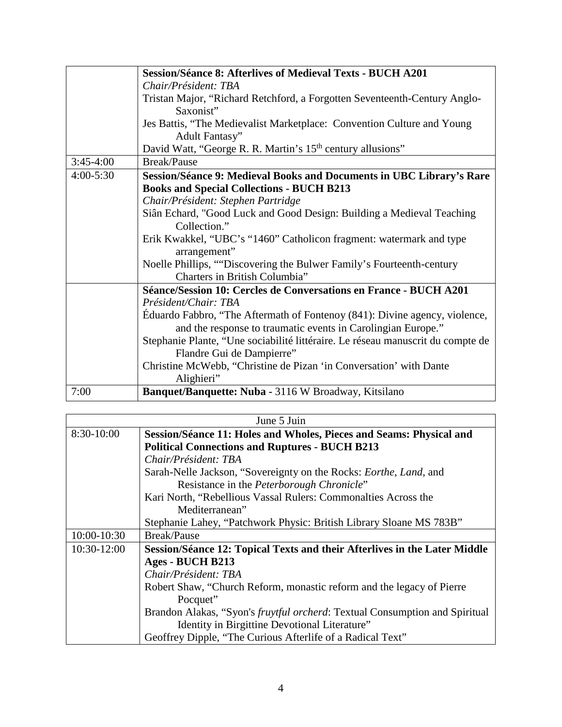|               | <b>Session/Séance 8: Afterlives of Medieval Texts - BUCH A201</b>               |
|---------------|---------------------------------------------------------------------------------|
|               | Chair/Président: TBA                                                            |
|               | Tristan Major, "Richard Retchford, a Forgotten Seventeenth-Century Anglo-       |
|               | Saxonist"                                                                       |
|               | Jes Battis, "The Medievalist Marketplace: Convention Culture and Young          |
|               | Adult Fantasy"                                                                  |
|               | David Watt, "George R. R. Martin's 15 <sup>th</sup> century allusions"          |
| $3:45-4:00$   | <b>Break/Pause</b>                                                              |
| $4:00 - 5:30$ | Session/Séance 9: Medieval Books and Documents in UBC Library's Rare            |
|               | <b>Books and Special Collections - BUCH B213</b>                                |
|               | Chair/Président: Stephen Partridge                                              |
|               | Siân Echard, "Good Luck and Good Design: Building a Medieval Teaching           |
|               | Collection."                                                                    |
|               | Erik Kwakkel, "UBC's "1460" Catholicon fragment: watermark and type             |
|               | arrangement"                                                                    |
|               | Noelle Phillips, ""Discovering the Bulwer Family's Fourteenth-century           |
|               | Charters in British Columbia"                                                   |
|               | Séance/Session 10: Cercles de Conversations en France - BUCH A201               |
|               | Président/Chair: TBA                                                            |
|               | Éduardo Fabbro, "The Aftermath of Fontenoy (841): Divine agency, violence,      |
|               | and the response to traumatic events in Carolingian Europe."                    |
|               | Stephanie Plante, "Une sociabilité littéraire. Le réseau manuscrit du compte de |
|               | Flandre Gui de Dampierre"                                                       |
|               | Christine McWebb, "Christine de Pizan 'in Conversation' with Dante              |
|               | Alighieri"                                                                      |
| 7:00          | Banquet/Banquette: Nuba - 3116 W Broadway, Kitsilano                            |

| June 5 Juin |                                                                                     |
|-------------|-------------------------------------------------------------------------------------|
| 8:30-10:00  | Session/Séance 11: Holes and Wholes, Pieces and Seams: Physical and                 |
|             | <b>Political Connections and Ruptures - BUCH B213</b>                               |
|             | Chair/Président: TBA                                                                |
|             | Sarah-Nelle Jackson, "Sovereignty on the Rocks: <i>Eorthe</i> , <i>Land</i> , and   |
|             | Resistance in the <i>Peterborough Chronicle</i> "                                   |
|             | Kari North, "Rebellious Vassal Rulers: Commonalties Across the                      |
|             | Mediterranean"                                                                      |
|             | Stephanie Lahey, "Patchwork Physic: British Library Sloane MS 783B"                 |
| 10:00-10:30 | <b>Break/Pause</b>                                                                  |
| 10:30-12:00 | Session/Séance 12: Topical Texts and their Afterlives in the Later Middle           |
|             | Ages - BUCH B213                                                                    |
|             | Chair/Président: TBA                                                                |
|             | Robert Shaw, "Church Reform, monastic reform and the legacy of Pierre               |
|             | Pocquet"                                                                            |
|             | Brandon Alakas, "Syon's <i>fruytful orcherd</i> : Textual Consumption and Spiritual |
|             | Identity in Birgittine Devotional Literature"                                       |
|             | Geoffrey Dipple, "The Curious Afterlife of a Radical Text"                          |